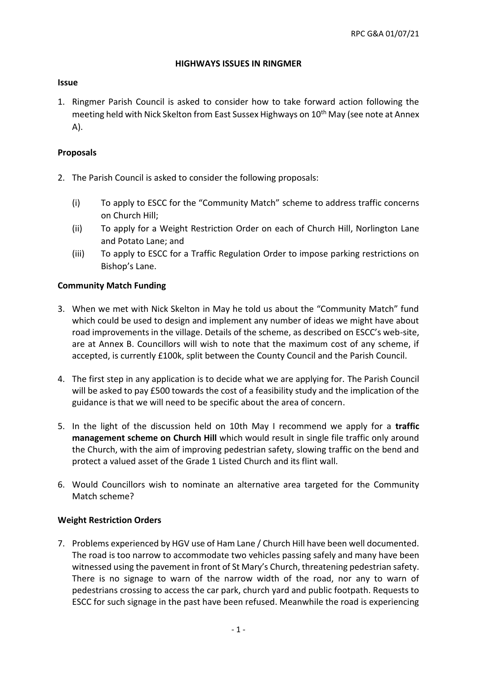### **HIGHWAYS ISSUES IN RINGMER**

### **Issue**

1. Ringmer Parish Council is asked to consider how to take forward action following the meeting held with Nick Skelton from East Sussex Highways on 10<sup>th</sup> May (see note at Annex A).

# **Proposals**

- 2. The Parish Council is asked to consider the following proposals:
	- (i) To apply to ESCC for the "Community Match" scheme to address traffic concerns on Church Hill;
	- (ii) To apply for a Weight Restriction Order on each of Church Hill, Norlington Lane and Potato Lane; and
	- (iii) To apply to ESCC for a Traffic Regulation Order to impose parking restrictions on Bishop's Lane.

# **Community Match Funding**

- 3. When we met with Nick Skelton in May he told us about the "Community Match" fund which could be used to design and implement any number of ideas we might have about road improvements in the village. Details of the scheme, as described on ESCC's web-site, are at Annex B. Councillors will wish to note that the maximum cost of any scheme, if accepted, is currently £100k, split between the County Council and the Parish Council.
- 4. The first step in any application is to decide what we are applying for. The Parish Council will be asked to pay £500 towards the cost of a feasibility study and the implication of the guidance is that we will need to be specific about the area of concern.
- 5. In the light of the discussion held on 10th May I recommend we apply for a **traffic management scheme on Church Hill** which would result in single file traffic only around the Church, with the aim of improving pedestrian safety, slowing traffic on the bend and protect a valued asset of the Grade 1 Listed Church and its flint wall.
- 6. Would Councillors wish to nominate an alternative area targeted for the Community Match scheme?

# **Weight Restriction Orders**

7. Problems experienced by HGV use of Ham Lane / Church Hill have been well documented. The road is too narrow to accommodate two vehicles passing safely and many have been witnessed using the pavement in front of St Mary's Church, threatening pedestrian safety. There is no signage to warn of the narrow width of the road, nor any to warn of pedestrians crossing to access the car park, church yard and public footpath. Requests to ESCC for such signage in the past have been refused. Meanwhile the road is experiencing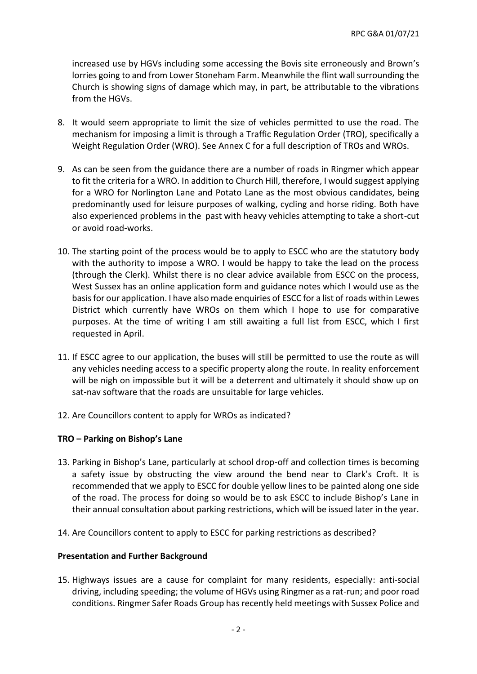increased use by HGVs including some accessing the Bovis site erroneously and Brown's lorries going to and from Lower Stoneham Farm. Meanwhile the flint wall surrounding the Church is showing signs of damage which may, in part, be attributable to the vibrations from the HGVs.

- 8. It would seem appropriate to limit the size of vehicles permitted to use the road. The mechanism for imposing a limit is through a Traffic Regulation Order (TRO), specifically a Weight Regulation Order (WRO). See Annex C for a full description of TROs and WROs.
- 9. As can be seen from the guidance there are a number of roads in Ringmer which appear to fit the criteria for a WRO. In addition to Church Hill, therefore, I would suggest applying for a WRO for Norlington Lane and Potato Lane as the most obvious candidates, being predominantly used for leisure purposes of walking, cycling and horse riding. Both have also experienced problems in the past with heavy vehicles attempting to take a short-cut or avoid road-works.
- 10. The starting point of the process would be to apply to ESCC who are the statutory body with the authority to impose a WRO. I would be happy to take the lead on the process (through the Clerk). Whilst there is no clear advice available from ESCC on the process, West Sussex has an online application form and guidance notes which I would use as the basis for our application. I have also made enquiries of ESCC for a list of roads within Lewes District which currently have WROs on them which I hope to use for comparative purposes. At the time of writing I am still awaiting a full list from ESCC, which I first requested in April.
- 11. If ESCC agree to our application, the buses will still be permitted to use the route as will any vehicles needing access to a specific property along the route. In reality enforcement will be nigh on impossible but it will be a deterrent and ultimately it should show up on sat-nav software that the roads are unsuitable for large vehicles.
- 12. Are Councillors content to apply for WROs as indicated?

# **TRO – Parking on Bishop's Lane**

- 13. Parking in Bishop's Lane, particularly at school drop-off and collection times is becoming a safety issue by obstructing the view around the bend near to Clark's Croft. It is recommended that we apply to ESCC for double yellow lines to be painted along one side of the road. The process for doing so would be to ask ESCC to include Bishop's Lane in their annual consultation about parking restrictions, which will be issued later in the year.
- 14. Are Councillors content to apply to ESCC for parking restrictions as described?

### **Presentation and Further Background**

15. Highways issues are a cause for complaint for many residents, especially: anti-social driving, including speeding; the volume of HGVs using Ringmer as a rat-run; and poor road conditions. Ringmer Safer Roads Group has recently held meetings with Sussex Police and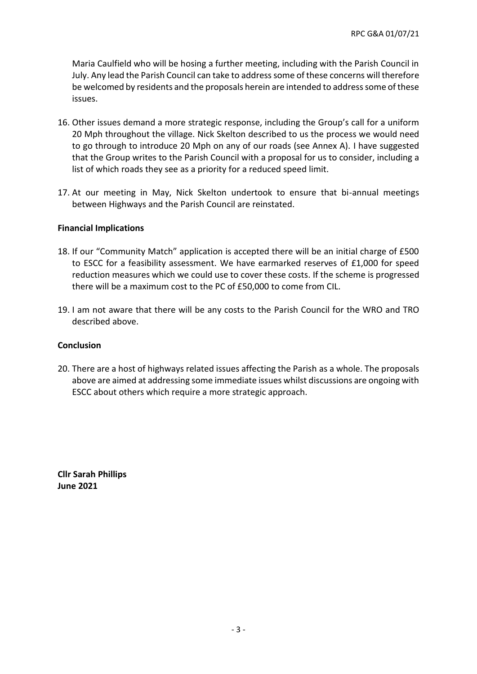Maria Caulfield who will be hosing a further meeting, including with the Parish Council in July. Any lead the Parish Council can take to address some of these concerns will therefore be welcomed by residents and the proposals herein are intended to address some of these issues.

- 16. Other issues demand a more strategic response, including the Group's call for a uniform 20 Mph throughout the village. Nick Skelton described to us the process we would need to go through to introduce 20 Mph on any of our roads (see Annex A). I have suggested that the Group writes to the Parish Council with a proposal for us to consider, including a list of which roads they see as a priority for a reduced speed limit.
- 17. At our meeting in May, Nick Skelton undertook to ensure that bi-annual meetings between Highways and the Parish Council are reinstated.

### **Financial Implications**

- 18. If our "Community Match" application is accepted there will be an initial charge of £500 to ESCC for a feasibility assessment. We have earmarked reserves of £1,000 for speed reduction measures which we could use to cover these costs. If the scheme is progressed there will be a maximum cost to the PC of £50,000 to come from CIL.
- 19. I am not aware that there will be any costs to the Parish Council for the WRO and TRO described above.

### **Conclusion**

20. There are a host of highways related issues affecting the Parish as a whole. The proposals above are aimed at addressing some immediate issues whilst discussions are ongoing with ESCC about others which require a more strategic approach.

**Cllr Sarah Phillips June 2021**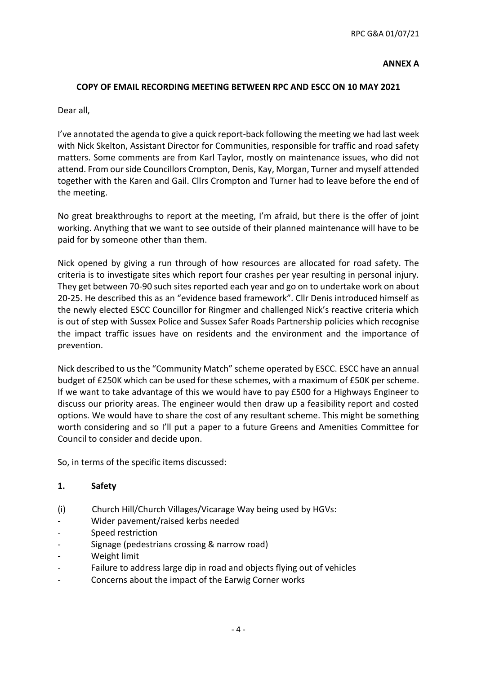### **ANNEX A**

### **COPY OF EMAIL RECORDING MEETING BETWEEN RPC AND ESCC ON 10 MAY 2021**

Dear all,

I've annotated the agenda to give a quick report-back following the meeting we had last week with Nick Skelton, Assistant Director for Communities, responsible for traffic and road safety matters. Some comments are from Karl Taylor, mostly on maintenance issues, who did not attend. From our side Councillors Crompton, Denis, Kay, Morgan, Turner and myself attended together with the Karen and Gail. Cllrs Crompton and Turner had to leave before the end of the meeting.

No great breakthroughs to report at the meeting, I'm afraid, but there is the offer of joint working. Anything that we want to see outside of their planned maintenance will have to be paid for by someone other than them.

Nick opened by giving a run through of how resources are allocated for road safety. The criteria is to investigate sites which report four crashes per year resulting in personal injury. They get between 70-90 such sites reported each year and go on to undertake work on about 20-25. He described this as an "evidence based framework". Cllr Denis introduced himself as the newly elected ESCC Councillor for Ringmer and challenged Nick's reactive criteria which is out of step with Sussex Police and Sussex Safer Roads Partnership policies which recognise the impact traffic issues have on residents and the environment and the importance of prevention.

Nick described to us the "Community Match" scheme operated by ESCC. ESCC have an annual budget of £250K which can be used for these schemes, with a maximum of £50K per scheme. If we want to take advantage of this we would have to pay £500 for a Highways Engineer to discuss our priority areas. The engineer would then draw up a feasibility report and costed options. We would have to share the cost of any resultant scheme. This might be something worth considering and so I'll put a paper to a future Greens and Amenities Committee for Council to consider and decide upon.

So, in terms of the specific items discussed:

### **1. Safety**

- (i) Church Hill/Church Villages/Vicarage Way being used by HGVs:
- Wider pavement/raised kerbs needed
- Speed restriction
- Signage (pedestrians crossing & narrow road)
- Weight limit
- Failure to address large dip in road and objects flying out of vehicles
- Concerns about the impact of the Earwig Corner works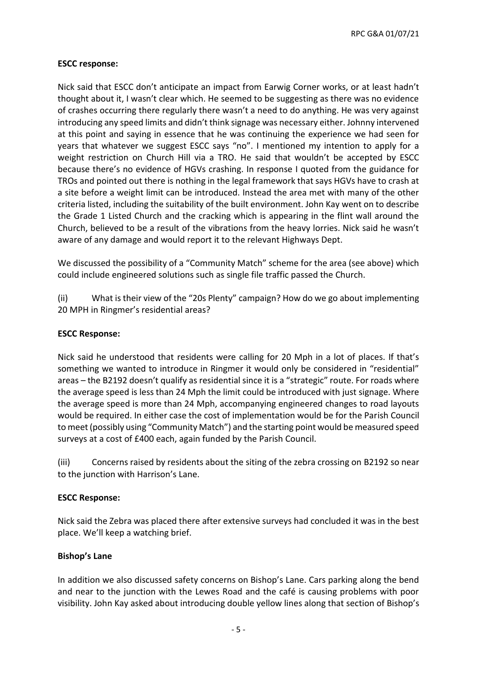RPC G&A 01/07/21

### **ESCC response:**

Nick said that ESCC don't anticipate an impact from Earwig Corner works, or at least hadn't thought about it, I wasn't clear which. He seemed to be suggesting as there was no evidence of crashes occurring there regularly there wasn't a need to do anything. He was very against introducing any speed limits and didn't think signage was necessary either. Johnny intervened at this point and saying in essence that he was continuing the experience we had seen for years that whatever we suggest ESCC says "no". I mentioned my intention to apply for a weight restriction on Church Hill via a TRO. He said that wouldn't be accepted by ESCC because there's no evidence of HGVs crashing. In response I quoted from the guidance for TROs and pointed out there is nothing in the legal framework that says HGVs have to crash at a site before a weight limit can be introduced. Instead the area met with many of the other criteria listed, including the suitability of the built environment. John Kay went on to describe the Grade 1 Listed Church and the cracking which is appearing in the flint wall around the Church, believed to be a result of the vibrations from the heavy lorries. Nick said he wasn't aware of any damage and would report it to the relevant Highways Dept.

We discussed the possibility of a "Community Match" scheme for the area (see above) which could include engineered solutions such as single file traffic passed the Church.

(ii) What is their view of the "20s Plenty" campaign? How do we go about implementing 20 MPH in Ringmer's residential areas?

### **ESCC Response:**

Nick said he understood that residents were calling for 20 Mph in a lot of places. If that's something we wanted to introduce in Ringmer it would only be considered in "residential" areas – the B2192 doesn't qualify as residential since it is a "strategic" route. For roads where the average speed is less than 24 Mph the limit could be introduced with just signage. Where the average speed is more than 24 Mph, accompanying engineered changes to road layouts would be required. In either case the cost of implementation would be for the Parish Council to meet (possibly using "Community Match") and the starting point would be measured speed surveys at a cost of £400 each, again funded by the Parish Council.

(iii) Concerns raised by residents about the siting of the zebra crossing on B2192 so near to the junction with Harrison's Lane.

# **ESCC Response:**

Nick said the Zebra was placed there after extensive surveys had concluded it was in the best place. We'll keep a watching brief.

# **Bishop's Lane**

In addition we also discussed safety concerns on Bishop's Lane. Cars parking along the bend and near to the junction with the Lewes Road and the café is causing problems with poor visibility. John Kay asked about introducing double yellow lines along that section of Bishop's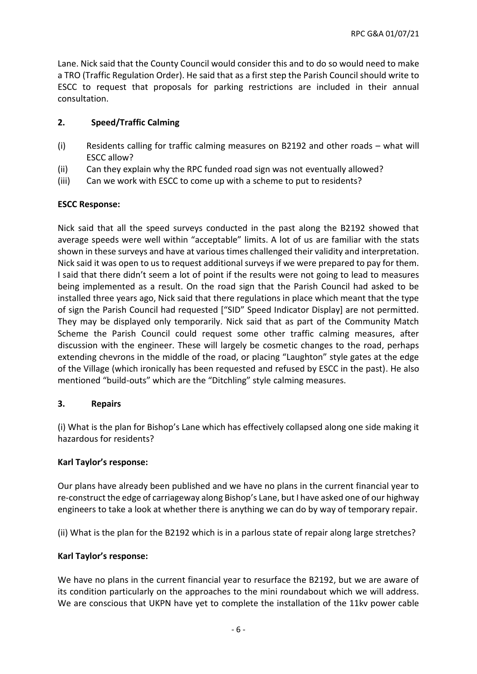Lane. Nick said that the County Council would consider this and to do so would need to make a TRO (Traffic Regulation Order). He said that as a first step the Parish Council should write to ESCC to request that proposals for parking restrictions are included in their annual consultation.

# **2. Speed/Traffic Calming**

- (i) Residents calling for traffic calming measures on B2192 and other roads what will ESCC allow?
- (ii) Can they explain why the RPC funded road sign was not eventually allowed?
- (iii) Can we work with ESCC to come up with a scheme to put to residents?

# **ESCC Response:**

Nick said that all the speed surveys conducted in the past along the B2192 showed that average speeds were well within "acceptable" limits. A lot of us are familiar with the stats shown in these surveys and have at various times challenged their validity and interpretation. Nick said it was open to us to request additional surveys if we were prepared to pay for them. I said that there didn't seem a lot of point if the results were not going to lead to measures being implemented as a result. On the road sign that the Parish Council had asked to be installed three years ago, Nick said that there regulations in place which meant that the type of sign the Parish Council had requested ["SID" Speed Indicator Display] are not permitted. They may be displayed only temporarily. Nick said that as part of the Community Match Scheme the Parish Council could request some other traffic calming measures, after discussion with the engineer. These will largely be cosmetic changes to the road, perhaps extending chevrons in the middle of the road, or placing "Laughton" style gates at the edge of the Village (which ironically has been requested and refused by ESCC in the past). He also mentioned "build-outs" which are the "Ditchling" style calming measures.

### **3. Repairs**

(i) What is the plan for Bishop's Lane which has effectively collapsed along one side making it hazardous for residents?

# **Karl Taylor's response:**

Our plans have already been published and we have no plans in the current financial year to re-construct the edge of carriageway along Bishop's Lane, but I have asked one of our highway engineers to take a look at whether there is anything we can do by way of temporary repair.

(ii) What is the plan for the B2192 which is in a parlous state of repair along large stretches?

# **Karl Taylor's response:**

We have no plans in the current financial year to resurface the B2192, but we are aware of its condition particularly on the approaches to the mini roundabout which we will address. We are conscious that UKPN have yet to complete the installation of the 11kv power cable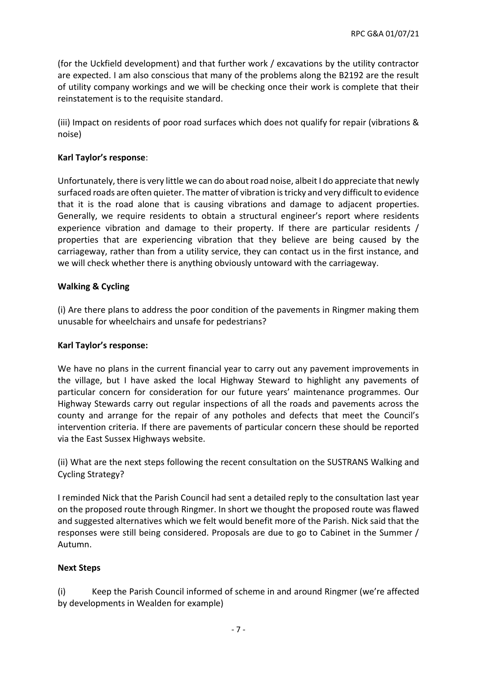(for the Uckfield development) and that further work / excavations by the utility contractor are expected. I am also conscious that many of the problems along the B2192 are the result of utility company workings and we will be checking once their work is complete that their reinstatement is to the requisite standard.

(iii) Impact on residents of poor road surfaces which does not qualify for repair (vibrations & noise)

### **Karl Taylor's response**:

Unfortunately, there is very little we can do about road noise, albeit I do appreciate that newly surfaced roads are often quieter. The matter of vibration is tricky and very difficult to evidence that it is the road alone that is causing vibrations and damage to adjacent properties. Generally, we require residents to obtain a structural engineer's report where residents experience vibration and damage to their property. If there are particular residents / properties that are experiencing vibration that they believe are being caused by the carriageway, rather than from a utility service, they can contact us in the first instance, and we will check whether there is anything obviously untoward with the carriageway.

### **Walking & Cycling**

(i) Are there plans to address the poor condition of the pavements in Ringmer making them unusable for wheelchairs and unsafe for pedestrians?

### **Karl Taylor's response:**

We have no plans in the current financial year to carry out any pavement improvements in the village, but I have asked the local Highway Steward to highlight any pavements of particular concern for consideration for our future years' maintenance programmes. Our Highway Stewards carry out regular inspections of all the roads and pavements across the county and arrange for the repair of any potholes and defects that meet the Council's intervention criteria. If there are pavements of particular concern these should be reported via the East Sussex Highways website.

(ii) What are the next steps following the recent consultation on the SUSTRANS Walking and Cycling Strategy?

I reminded Nick that the Parish Council had sent a detailed reply to the consultation last year on the proposed route through Ringmer. In short we thought the proposed route was flawed and suggested alternatives which we felt would benefit more of the Parish. Nick said that the responses were still being considered. Proposals are due to go to Cabinet in the Summer / Autumn.

### **Next Steps**

(i) Keep the Parish Council informed of scheme in and around Ringmer (we're affected by developments in Wealden for example)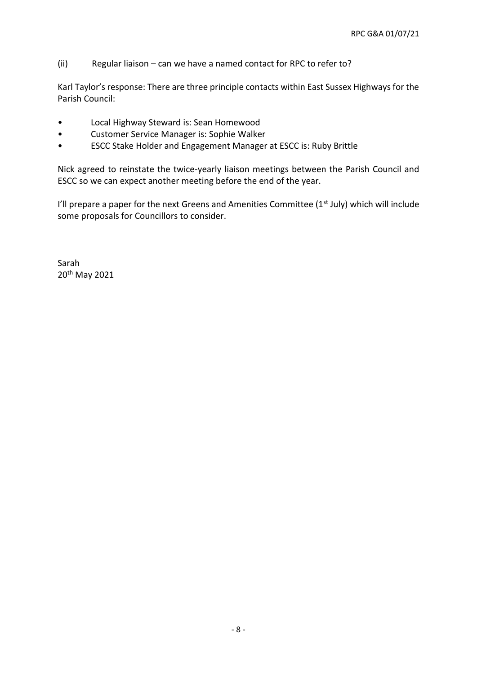(ii) Regular liaison – can we have a named contact for RPC to refer to?

Karl Taylor's response: There are three principle contacts within East Sussex Highways for the Parish Council:

- Local Highway Steward is: Sean Homewood
- Customer Service Manager is: Sophie Walker
- ESCC Stake Holder and Engagement Manager at ESCC is: Ruby Brittle

Nick agreed to reinstate the twice-yearly liaison meetings between the Parish Council and ESCC so we can expect another meeting before the end of the year.

I'll prepare a paper for the next Greens and Amenities Committee (1<sup>st</sup> July) which will include some proposals for Councillors to consider.

Sarah 20th May 2021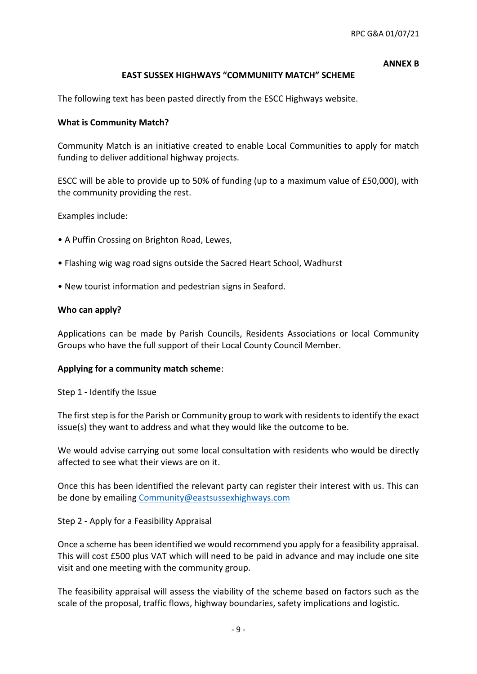#### **ANNEX B**

### **EAST SUSSEX HIGHWAYS "COMMUNIITY MATCH" SCHEME**

The following text has been pasted directly from the ESCC Highways website.

### **What is Community Match?**

Community Match is an initiative created to enable Local Communities to apply for match funding to deliver additional highway projects.

ESCC will be able to provide up to 50% of funding (up to a maximum value of £50,000), with the community providing the rest.

Examples include:

- A Puffin Crossing on Brighton Road, Lewes,
- Flashing wig wag road signs outside the Sacred Heart School, Wadhurst
- New tourist information and pedestrian signs in Seaford.

### **Who can apply?**

Applications can be made by Parish Councils, Residents Associations or local Community Groups who have the full support of their Local County Council Member.

### **Applying for a community match scheme**:

Step 1 - Identify the Issue

The first step is for the Parish or Community group to work with residents to identify the exact issue(s) they want to address and what they would like the outcome to be.

We would advise carrying out some local consultation with residents who would be directly affected to see what their views are on it.

Once this has been identified the relevant party can register their interest with us. This can be done by emailing [Community@eastsussexhighways.com](mailto:Community@eastsussexhighways.com)

Step 2 - Apply for a Feasibility Appraisal

Once a scheme has been identified we would recommend you apply for a feasibility appraisal. This will cost £500 plus VAT which will need to be paid in advance and may include one site visit and one meeting with the community group.

The feasibility appraisal will assess the viability of the scheme based on factors such as the scale of the proposal, traffic flows, highway boundaries, safety implications and logistic.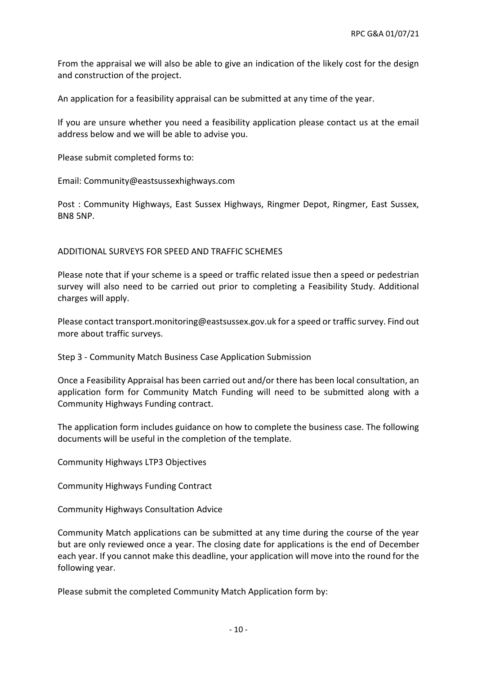From the appraisal we will also be able to give an indication of the likely cost for the design and construction of the project.

An application for a feasibility appraisal can be submitted at any time of the year.

If you are unsure whether you need a feasibility application please contact us at the email address below and we will be able to advise you.

Please submit completed forms to:

Email: Community@eastsussexhighways.com

Post : Community Highways, East Sussex Highways, Ringmer Depot, Ringmer, East Sussex, BN8 5NP.

### ADDITIONAL SURVEYS FOR SPEED AND TRAFFIC SCHEMES

Please note that if your scheme is a speed or traffic related issue then a speed or pedestrian survey will also need to be carried out prior to completing a Feasibility Study. Additional charges will apply.

Please contact transport.monitoring@eastsussex.gov.uk for a speed or traffic survey. Find out more about traffic surveys.

Step 3 - Community Match Business Case Application Submission

Once a Feasibility Appraisal has been carried out and/or there has been local consultation, an application form for Community Match Funding will need to be submitted along with a Community Highways Funding contract.

The application form includes guidance on how to complete the business case. The following documents will be useful in the completion of the template.

Community Highways LTP3 Objectives

Community Highways Funding Contract

Community Highways Consultation Advice

Community Match applications can be submitted at any time during the course of the year but are only reviewed once a year. The closing date for applications is the end of December each year. If you cannot make this deadline, your application will move into the round for the following year.

Please submit the completed Community Match Application form by: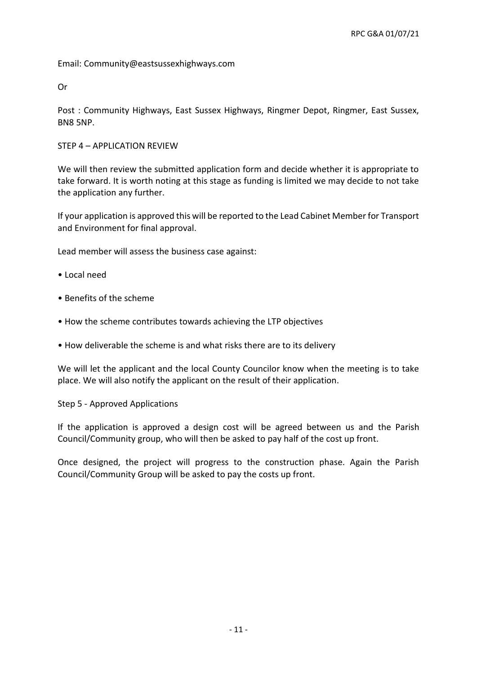Email: Community@eastsussexhighways.com

Or

Post : Community Highways, East Sussex Highways, Ringmer Depot, Ringmer, East Sussex, BN8 5NP.

STEP 4 – APPLICATION REVIEW

We will then review the submitted application form and decide whether it is appropriate to take forward. It is worth noting at this stage as funding is limited we may decide to not take the application any further.

If your application is approved this will be reported to the Lead Cabinet Member for Transport and Environment for final approval.

Lead member will assess the business case against:

- Local need
- Benefits of the scheme
- How the scheme contributes towards achieving the LTP objectives
- How deliverable the scheme is and what risks there are to its delivery

We will let the applicant and the local County Councilor know when the meeting is to take place. We will also notify the applicant on the result of their application.

Step 5 - Approved Applications

If the application is approved a design cost will be agreed between us and the Parish Council/Community group, who will then be asked to pay half of the cost up front.

Once designed, the project will progress to the construction phase. Again the Parish Council/Community Group will be asked to pay the costs up front.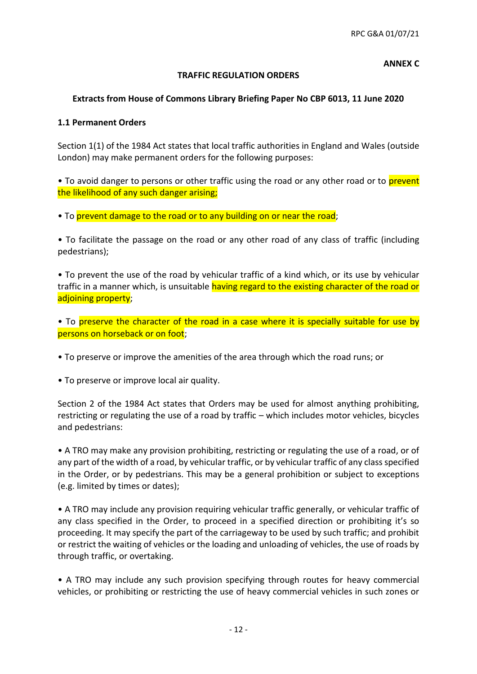#### **ANNEX C**

### **TRAFFIC REGULATION ORDERS**

### **Extracts from House of Commons Library Briefing Paper No CBP 6013, 11 June 2020**

### **1.1 Permanent Orders**

Section 1(1) of the 1984 Act states that local traffic authorities in England and Wales (outside London) may make permanent orders for the following purposes:

• To avoid danger to persons or other traffic using the road or any other road or to prevent the likelihood of any such danger arising;

• To prevent damage to the road or to any building on or near the road:

• To facilitate the passage on the road or any other road of any class of traffic (including pedestrians);

• To prevent the use of the road by vehicular traffic of a kind which, or its use by vehicular traffic in a manner which, is unsuitable having regard to the existing character of the road or adjoining property;

• To preserve the character of the road in a case where it is specially suitable for use by persons on horseback or on foot;

• To preserve or improve the amenities of the area through which the road runs; or

• To preserve or improve local air quality.

Section 2 of the 1984 Act states that Orders may be used for almost anything prohibiting, restricting or regulating the use of a road by traffic – which includes motor vehicles, bicycles and pedestrians:

• A TRO may make any provision prohibiting, restricting or regulating the use of a road, or of any part of the width of a road, by vehicular traffic, or by vehicular traffic of any class specified in the Order, or by pedestrians. This may be a general prohibition or subject to exceptions (e.g. limited by times or dates);

• A TRO may include any provision requiring vehicular traffic generally, or vehicular traffic of any class specified in the Order, to proceed in a specified direction or prohibiting it's so proceeding. It may specify the part of the carriageway to be used by such traffic; and prohibit or restrict the waiting of vehicles or the loading and unloading of vehicles, the use of roads by through traffic, or overtaking.

• A TRO may include any such provision specifying through routes for heavy commercial vehicles, or prohibiting or restricting the use of heavy commercial vehicles in such zones or